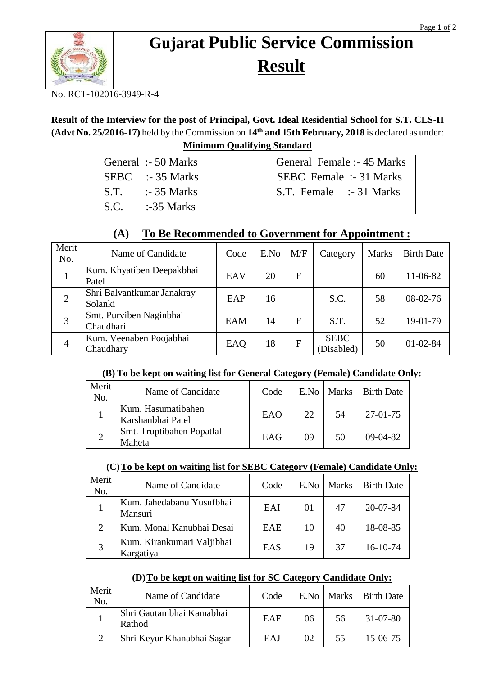

# **Gujarat Public Service Commission Result**

No. RCT-102016-3949-R-4

## **Result of the Interview for the post of Principal, Govt. Ideal Residential School for S.T. CLS-II (Advt No. 25/2016-17)** held by the Commission on **14th and 15th February, 2018** is declared as under: **Minimum Qualifying Standard**

| General :- 50 Marks | General Female :- 45 Marks     |
|---------------------|--------------------------------|
| $SEBC$ :-35 Marks   | <b>SEBC</b> Female :- 31 Marks |
| $S.T.$ :-35 Marks   | S.T. Female :-31 Marks         |
| $SC. = 35 Marks$    |                                |

## **(A) To Be Recommended to Government for Appointment :**

| Merit<br>No.   | Name of Candidate                     | Code | E.No | M/F          | Category                  | <b>Marks</b> | <b>Birth Date</b> |
|----------------|---------------------------------------|------|------|--------------|---------------------------|--------------|-------------------|
|                | Kum. Khyatiben Deepakbhai<br>Patel    | EAV  | 20   | F            |                           | 60           | 11-06-82          |
| $\overline{2}$ | Shri Balvantkumar Janakray<br>Solanki | EAP  | 16   |              | S.C.                      | 58           | 08-02-76          |
| 3              | Smt. Purviben Naginbhai<br>Chaudhari  | EAM  | 14   | F            | S.T.                      | 52           | 19-01-79          |
| $\overline{4}$ | Kum. Veenaben Poojabhai<br>Chaudhary  | EAQ  | 18   | $\mathbf{F}$ | <b>SEBC</b><br>(Disabled) | 50           | $01 - 02 - 84$    |

#### **(B) To be kept on waiting list for General Category (Female) Candidate Only:**

| Merit<br>No. | Name of Candidate                       | Code | E.No | Marks | <b>Birth Date</b> |
|--------------|-----------------------------------------|------|------|-------|-------------------|
|              | Kum. Hasumatibahen<br>Karshanbhai Patel | EAO  | 22   | 54    | $27-01-75$        |
|              | Smt. Truptibahen Popatlal<br>Maheta     | EAG  | 09   | 50    | $09-04-82$        |

#### **(C)To be kept on waiting list for SEBC Category (Female) Candidate Only:**

| Merit<br>No.          | Name of Candidate                       | Code       | E.No | Marks | <b>Birth Date</b> |
|-----------------------|-----------------------------------------|------------|------|-------|-------------------|
|                       | Kum. Jahedabanu Yusufbhai<br>Mansuri    | EAI        | 01   | 47    | $20 - 07 - 84$    |
| $\mathcal{D}_{\cdot}$ | Kum. Monal Kanubhai Desai               | <b>EAE</b> | 10   | 40    | 18-08-85          |
| 3                     | Kum. Kirankumari Valjibhai<br>Kargatiya | EAS        | 19   | 37    | $16-10-74$        |

## **(D)To be kept on waiting list for SC Category Candidate Only:**

| Merit<br>No. | Name of Candidate                  | Code       |    |    | E.No   Marks   Birth Date |
|--------------|------------------------------------|------------|----|----|---------------------------|
|              | Shri Gautambhai Kamabhai<br>Rathod | EAF        | 06 | 56 | 31-07-80                  |
| ി            | Shri Keyur Khanabhai Sagar         | <b>EAJ</b> | 02 | 55 | $15-06-75$                |